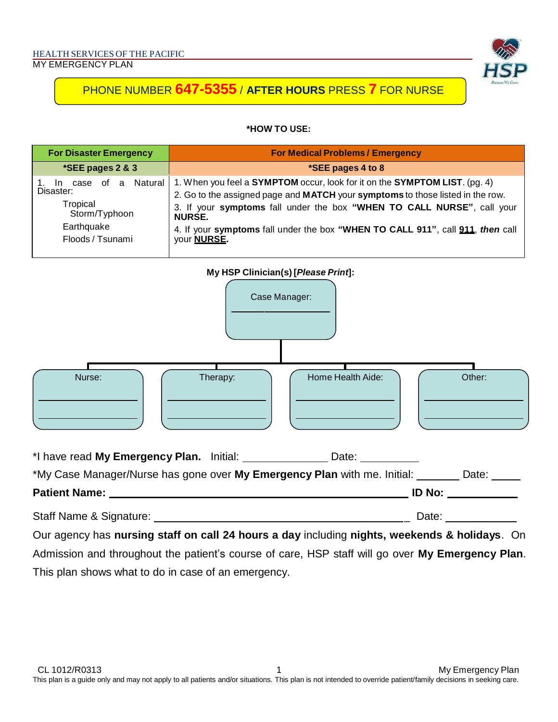

#### **\*HOW TO USE:**

| <b>For Disaster Emergency</b>                                                                        | <b>For Medical Problems / Emergency</b>                                                                                                                                                                                                                                                                                                                                        |  |
|------------------------------------------------------------------------------------------------------|--------------------------------------------------------------------------------------------------------------------------------------------------------------------------------------------------------------------------------------------------------------------------------------------------------------------------------------------------------------------------------|--|
| *SEE pages 2 & 3                                                                                     | *SEE pages 4 to 8                                                                                                                                                                                                                                                                                                                                                              |  |
| case of a Natural<br>In.<br>Disaster:<br>Tropical<br>Storm/Typhoon<br>Earthquake<br>Floods / Tsunami | 1. When you feel a <b>SYMPTOM</b> occur, look for it on the <b>SYMPTOM LIST</b> . (pg. 4)<br>2. Go to the assigned page and MATCH your symptoms to those listed in the row.<br>3. If your symptoms fall under the box "WHEN TO CALL NURSE", call your<br><b>NURSE.</b><br>4. If your symptoms fall under the box "WHEN TO CALL 911", call 911, then call<br>your <b>NURSE.</b> |  |



| <b>Patient Name:</b> | O No: _ |
|----------------------|---------|

Staff Name & Signature:  $\qquad \qquad$  Date:

Our agency has **nursing staff on call 24 hours a day** including **nights, weekends & holidays**. On Admission and throughout the patient's course of care, HSP staff will go over **My Emergency Plan**. This plan shows what to do in case of an emergency.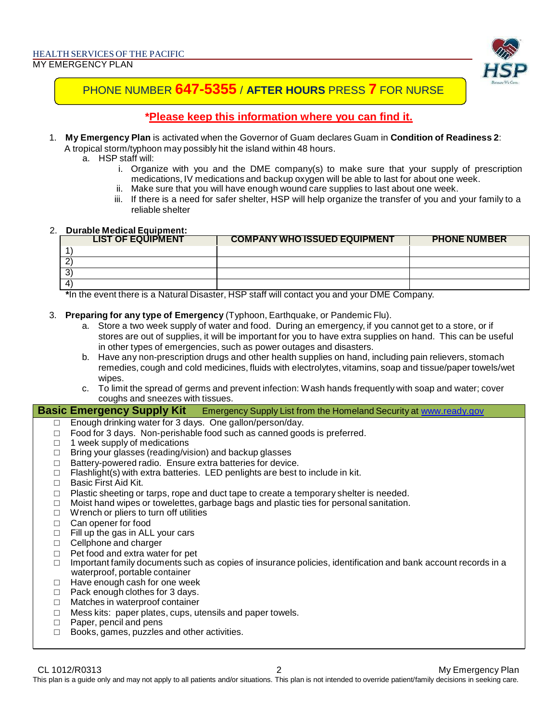

### **\*Please keep this information where you can find it.**

- 1. **My Emergency Plan** is activated when the Governor of Guam declares Guam in **Condition of Readiness 2**: A tropical storm/typhoon may possibly hit the island within 48 hours.
	- a. HSP staff will:
		- i. Organize with you and the DME company(s) to make sure that your supply of prescription medications, IV medications and backup oxygen will be able to last for about one week.
		- ii. Make sure that you will have enough wound care supplies to last about one week.
		- iii. If there is a need for safer shelter, HSP will help organize the transfer of you and your family to a reliable shelter

#### 2. **Durable Medical Equipment:**

| <b>LIST OF EQUIPMENT</b> | <b>COMPANY WHO ISSUED EQUIPMENT</b> | <b>PHONE NUMBER</b> |
|--------------------------|-------------------------------------|---------------------|
|                          |                                     |                     |
|                          |                                     |                     |
|                          |                                     |                     |
|                          |                                     |                     |

**\***In the event there is a Natural Disaster, HSP staff will contact you and your DME Company.

- 3. **Preparing for any type of Emergency** (Typhoon, Earthquake, or Pandemic Flu).
	- a. Store a two week supply of water and food. During an emergency, if you cannot get to a store, or if stores are out of supplies, it will be important for you to have extra supplies on hand. This can be useful in other types of emergencies, such as power outages and disasters.
	- b. Have any non-prescription drugs and other health supplies on hand, including pain relievers, stomach remedies, cough and cold medicines, fluids with electrolytes, vitamins, soap and tissue/paper towels/wet wipes.
	- c. To limit the spread of germs and prevent infection: Wash hands frequently with soap and water; cover coughs and sneezes with tissues.

**Basic Emergency Supply Kit** Emergency Supply List from the Homeland Security at [www.ready.gov](http://www.ready.gov/)

- □ Enough drinking water for 3 days. One gallon/person/day.
- $\Box$  Food for 3 days. Non-perishable food such as canned goods is preferred.
- □ 1 week supply of medications
- □ Bring your glasses (reading/vision) and backup glasses
- □ Battery-powered radio. Ensure extra batteries for device.<br>□ Flashlight(s) with extra batteries. LED penlights are best t
- Flashlight(s) with extra batteries. LED penlights are best to include in kit.
- $\Box$  Basic First Aid Kit.
- $\Box$  Plastic sheeting or tarps, rope and duct tape to create a temporary shelter is needed.
- $\Box$  Moist hand wipes or towelettes, garbage bags and plastic ties for personal sanitation.
- □ Wrench or pliers to turn off utilities
- □ Can opener for food
- $\Box$  Fill up the gas in ALL your cars
- □ Cellphone and charger
- 
- □ Pet food and extra water for pet<br>□ Important family documents such Important family documents such as copies of insurance policies, identification and bank account records in a waterproof, portable container
- □ Have enough cash for one week
- □ Pack enough clothes for 3 days.
- □ Matches in waterproof container
- □ Mess kits: paper plates, cups, utensils and paper towels.
- □ Paper, pencil and pens
- □ Books, games, puzzles and other activities.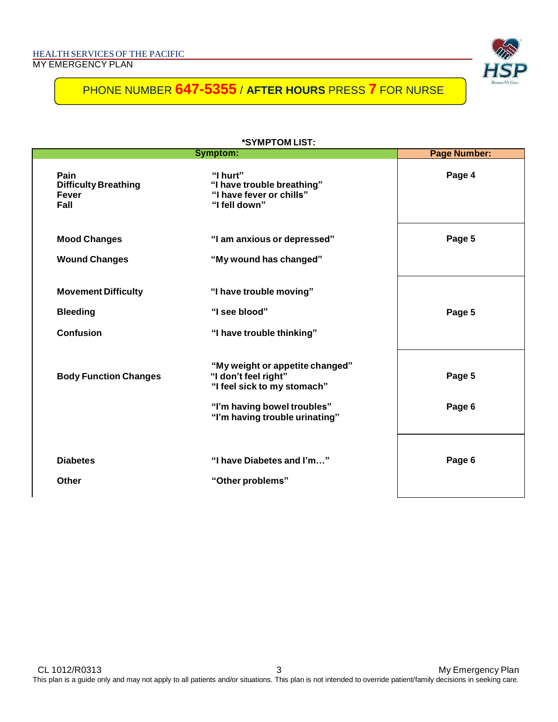|                                                                   | *SYMPTOM LIST:<br>Symptom:<br><b>Page Number:</b>                                                                                                       |                  |  |  |
|-------------------------------------------------------------------|---------------------------------------------------------------------------------------------------------------------------------------------------------|------------------|--|--|
| Pain<br><b>Difficulty Breathing</b><br>Fever<br>Fall              | "I hurt"<br>"I have trouble breathing"<br>"I have fever or chills"<br>"I fell down"                                                                     | Page 4           |  |  |
| <b>Mood Changes</b><br><b>Wound Changes</b>                       | "I am anxious or depressed"<br>"My wound has changed"                                                                                                   | Page 5           |  |  |
| <b>Movement Difficulty</b><br><b>Bleeding</b><br><b>Confusion</b> | "I have trouble moving"<br>"I see blood"<br>"I have trouble thinking"                                                                                   | Page 5           |  |  |
| <b>Body Function Changes</b>                                      | "My weight or appetite changed"<br>"I don't feel right"<br>"I feel sick to my stomach"<br>"I'm having bowel troubles"<br>"I'm having trouble urinating" | Page 5<br>Page 6 |  |  |
| <b>Diabetes</b><br>Other                                          | "I have Diabetes and I'm"<br>"Other problems"                                                                                                           | Page 6           |  |  |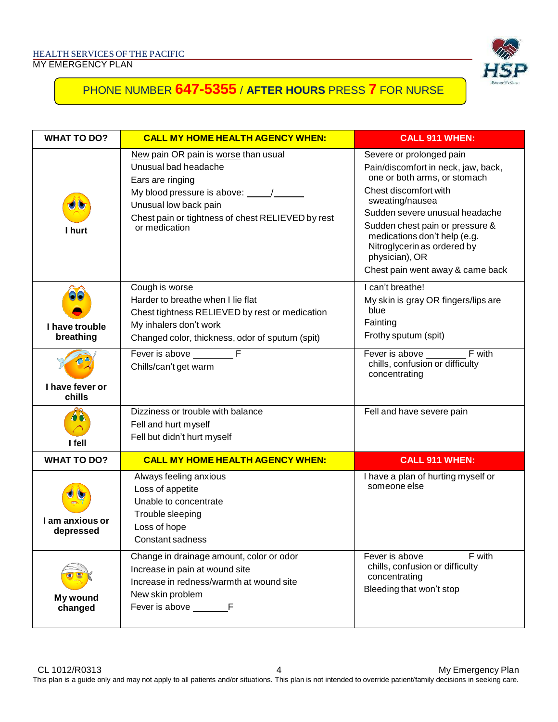

| <b>WHAT TO DO?</b>           | <b>CALL MY HOME HEALTH AGENCY WHEN:</b>                                                                                                                                                                          | <b>CALL 911 WHEN:</b>                                                                                                                                                                                                                                                                                                                 |  |  |
|------------------------------|------------------------------------------------------------------------------------------------------------------------------------------------------------------------------------------------------------------|---------------------------------------------------------------------------------------------------------------------------------------------------------------------------------------------------------------------------------------------------------------------------------------------------------------------------------------|--|--|
| I hurt                       | New pain OR pain is worse than usual<br>Unusual bad headache<br>Ears are ringing<br>My blood pressure is above: 1<br>Unusual low back pain<br>Chest pain or tightness of chest RELIEVED by rest<br>or medication | Severe or prolonged pain<br>Pain/discomfort in neck, jaw, back,<br>one or both arms, or stomach<br>Chest discomfort with<br>sweating/nausea<br>Sudden severe unusual headache<br>Sudden chest pain or pressure &<br>medications don't help (e.g.<br>Nitroglycerin as ordered by<br>physician), OR<br>Chest pain went away & came back |  |  |
| I have trouble<br>breathing  | Cough is worse<br>Harder to breathe when I lie flat<br>Chest tightness RELIEVED by rest or medication<br>My inhalers don't work<br>Changed color, thickness, odor of sputum (spit)                               | I can't breathe!<br>My skin is gray OR fingers/lips are<br>blue<br>Fainting<br>Frothy sputum (spit)                                                                                                                                                                                                                                   |  |  |
| I have fever or<br>chills    | Fever is above F<br>Chills/can't get warm                                                                                                                                                                        | chills, confusion or difficulty<br>concentrating                                                                                                                                                                                                                                                                                      |  |  |
| I fell                       | Dizziness or trouble with balance<br>Fell and hurt myself<br>Fell but didn't hurt myself                                                                                                                         | Fell and have severe pain                                                                                                                                                                                                                                                                                                             |  |  |
| <b>WHAT TO DO?</b>           | <b>CALL MY HOME HEALTH AGENCY WHEN:</b>                                                                                                                                                                          | <b>CALL 911 WHEN:</b>                                                                                                                                                                                                                                                                                                                 |  |  |
| I am anxious or<br>depressed | Always feeling anxious<br>Loss of appetite<br>Unable to concentrate<br>Trouble sleeping<br>Loss of hope<br>Constant sadness                                                                                      | I have a plan of hurting myself or<br>someone else                                                                                                                                                                                                                                                                                    |  |  |
| My wound<br>changed          | Change in drainage amount, color or odor<br>Increase in pain at wound site<br>Increase in redness/warmth at wound site<br>New skin problem                                                                       | F with<br>Fever is above _____<br>chills, confusion or difficulty<br>concentrating<br>Bleeding that won't stop                                                                                                                                                                                                                        |  |  |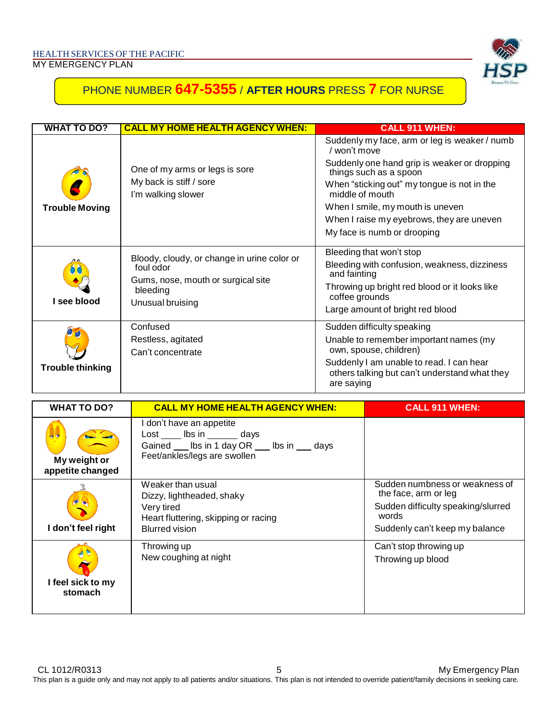

| WHAT TO DO?             | <b>CALL MY HOME HEALTH AGENCY WHEN:</b>                                                                                        | <b>CALL 911 WHEN:</b>                                                                                                                                                                                                                                                                                                     |
|-------------------------|--------------------------------------------------------------------------------------------------------------------------------|---------------------------------------------------------------------------------------------------------------------------------------------------------------------------------------------------------------------------------------------------------------------------------------------------------------------------|
| <b>Trouble Moving</b>   | One of my arms or legs is sore<br>My back is stiff / sore<br>I'm walking slower                                                | Suddenly my face, arm or leg is weaker / numb<br>/ won't move<br>Suddenly one hand grip is weaker or dropping<br>things such as a spoon<br>When "sticking out" my tongue is not in the<br>middle of mouth<br>When I smile, my mouth is uneven<br>When I raise my eyebrows, they are uneven<br>My face is numb or drooping |
| I see blood             | Bloody, cloudy, or change in urine color or<br>foul odor<br>Gums, nose, mouth or surgical site<br>bleeding<br>Unusual bruising | Bleeding that won't stop<br>Bleeding with confusion, weakness, dizziness<br>and fainting<br>Throwing up bright red blood or it looks like<br>coffee grounds<br>Large amount of bright red blood                                                                                                                           |
| <b>Trouble thinking</b> | Confused<br>Restless, agitated<br>Can't concentrate                                                                            | Sudden difficulty speaking<br>Unable to remember important names (my<br>own, spouse, children)<br>Suddenly I am unable to read. I can hear<br>others talking but can't understand what they<br>are saying                                                                                                                 |

| <b>WHAT TO DO?</b>                           | <b>CALL MY HOME HEALTH AGENCY WHEN:</b>                                                                                        | <b>CALL 911 WHEN:</b>                                                                                                                   |  |
|----------------------------------------------|--------------------------------------------------------------------------------------------------------------------------------|-----------------------------------------------------------------------------------------------------------------------------------------|--|
| $\sim$ 0<br>My weight or<br>appetite changed | I don't have an appetite<br>Lost Ibs in days<br>Gained ___ lbs in 1 day OR ___ lbs in ___ days<br>Feet/ankles/legs are swollen |                                                                                                                                         |  |
| I don't feel right                           | Weaker than usual<br>Dizzy, lightheaded, shaky<br>Very tired<br>Heart fluttering, skipping or racing<br><b>Blurred vision</b>  | Sudden numbness or weakness of<br>the face, arm or leg<br>Sudden difficulty speaking/slurred<br>words<br>Suddenly can't keep my balance |  |
| I feel sick to my<br>stomach                 | Throwing up<br>New coughing at night                                                                                           | Can't stop throwing up<br>Throwing up blood                                                                                             |  |